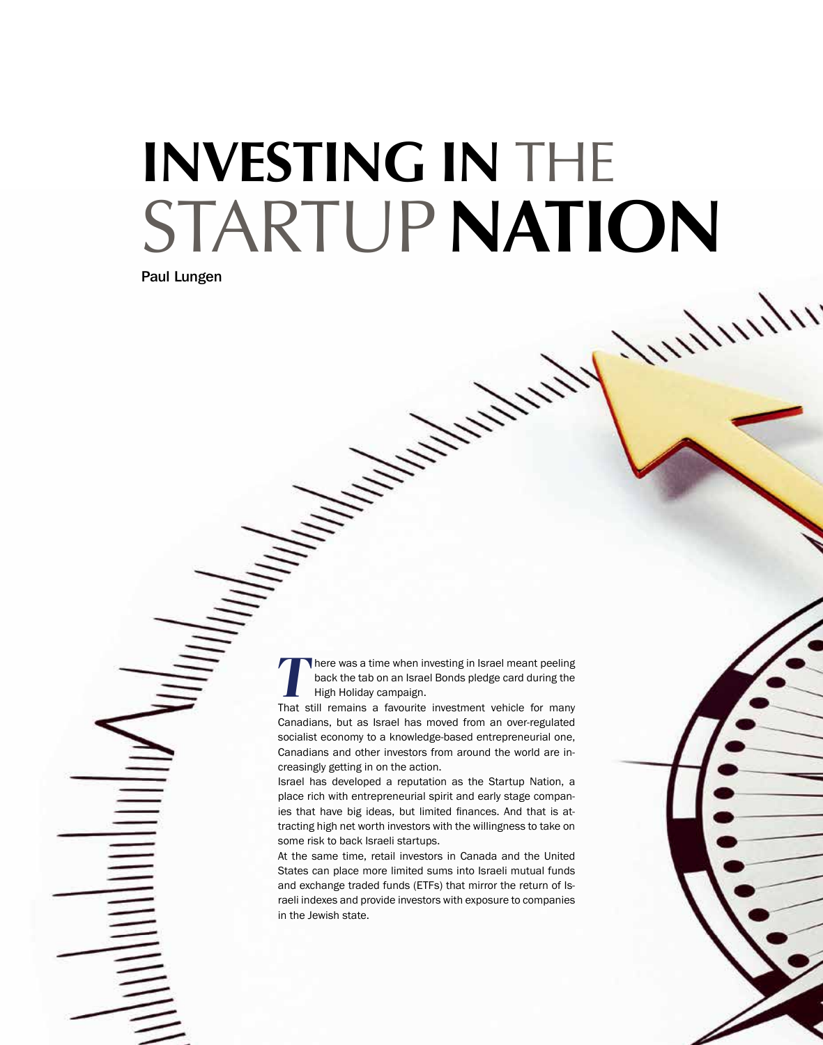## **Investing in** the **STARTUP NATION**

Paul Lungen

**There was a time when investing in Israel meant peeling** back the tab on an Israel Bonds pledge card during the High Holiday campaign.

That still remains a favourite investment vehicle for many Canadians, but as Israel has moved from an over-regulated socialist economy to a knowledge-based entrepreneurial one, Canadians and other investors from around the world are increasingly getting in on the action.

Israel has developed a reputation as the Startup Nation, a place rich with entrepreneurial spirit and early stage companies that have big ideas, but limited finances. And that is attracting high net worth investors with the willingness to take on some risk to back Israeli startups.

At the same time, retail investors in Canada and the United States can place more limited sums into Israeli mutual funds and exchange traded funds (ETFs) that mirror the return of Israeli indexes and provide investors with exposure to companies in the Jewish state.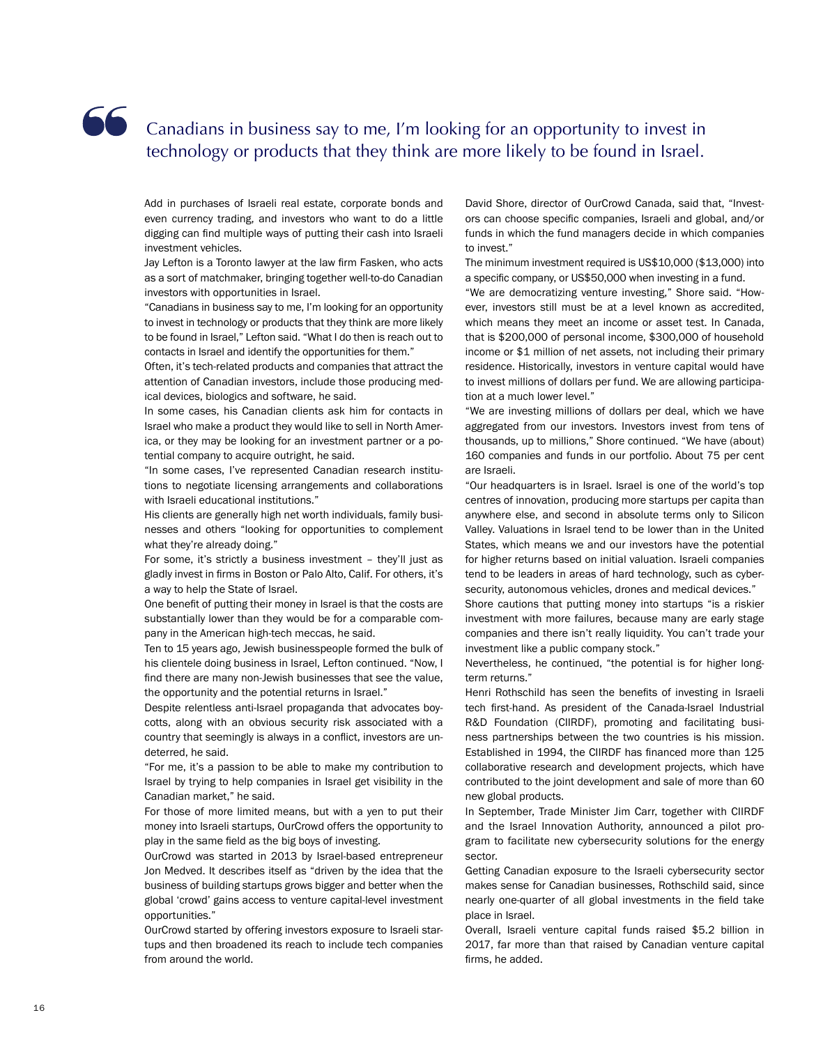## Canadians in business say to me, I'm looking for an opportunity to invest in technology or products that they think are more likely to be found in Israel.

Add in purchases of Israeli real estate, corporate bonds and even currency trading, and investors who want to do a little digging can find multiple ways of putting their cash into Israeli investment vehicles.

Jay Lefton is a Toronto lawyer at the law firm Fasken, who acts as a sort of matchmaker, bringing together well-to-do Canadian investors with opportunities in Israel.

"Canadians in business say to me, I'm looking for an opportunity to invest in technology or products that they think are more likely to be found in Israel," Lefton said. "What I do then is reach out to contacts in Israel and identify the opportunities for them."

Often, it's tech-related products and companies that attract the attention of Canadian investors, include those producing medical devices, biologics and software, he said.

In some cases, his Canadian clients ask him for contacts in Israel who make a product they would like to sell in North America, or they may be looking for an investment partner or a potential company to acquire outright, he said.

"In some cases, I've represented Canadian research institutions to negotiate licensing arrangements and collaborations with Israeli educational institutions."

His clients are generally high net worth individuals, family businesses and others "looking for opportunities to complement what they're already doing."

For some, it's strictly a business investment – they'll just as gladly invest in firms in Boston or Palo Alto, Calif. For others, it's a way to help the State of Israel.

One benefit of putting their money in Israel is that the costs are substantially lower than they would be for a comparable company in the American high-tech meccas, he said.

Ten to 15 years ago, Jewish businesspeople formed the bulk of his clientele doing business in Israel, Lefton continued. "Now, I find there are many non-Jewish businesses that see the value, the opportunity and the potential returns in Israel."

Despite relentless anti-Israel propaganda that advocates boycotts, along with an obvious security risk associated with a country that seemingly is always in a conflict, investors are undeterred, he said.

"For me, it's a passion to be able to make my contribution to Israel by trying to help companies in Israel get visibility in the Canadian market," he said.

For those of more limited means, but with a yen to put their money into Israeli startups, OurCrowd offers the opportunity to play in the same field as the big boys of investing.

OurCrowd was started in 2013 by Israel-based entrepreneur Jon Medved. It describes itself as "driven by the idea that the business of building startups grows bigger and better when the global 'crowd' gains access to venture capital-level investment opportunities."

OurCrowd started by offering investors exposure to Israeli startups and then broadened its reach to include tech companies from around the world.

David Shore, director of OurCrowd Canada, said that, "Investors can choose specific companies, Israeli and global, and/or funds in which the fund managers decide in which companies to invest."

The minimum investment required is US\$10,000 (\$13,000) into a specific company, or US\$50,000 when investing in a fund.

"We are democratizing venture investing," Shore said. "However, investors still must be at a level known as accredited, which means they meet an income or asset test. In Canada, that is \$200,000 of personal income, \$300,000 of household income or \$1 million of net assets, not including their primary residence. Historically, investors in venture capital would have to invest millions of dollars per fund. We are allowing participation at a much lower level."

"We are investing millions of dollars per deal, which we have aggregated from our investors. Investors invest from tens of thousands, up to millions," Shore continued. "We have (about) 160 companies and funds in our portfolio. About 75 per cent are Israeli.

"Our headquarters is in Israel. Israel is one of the world's top centres of innovation, producing more startups per capita than anywhere else, and second in absolute terms only to Silicon Valley. Valuations in Israel tend to be lower than in the United States, which means we and our investors have the potential for higher returns based on initial valuation. Israeli companies tend to be leaders in areas of hard technology, such as cybersecurity, autonomous vehicles, drones and medical devices."

Shore cautions that putting money into startups "is a riskier investment with more failures, because many are early stage companies and there isn't really liquidity. You can't trade your investment like a public company stock."

Nevertheless, he continued, "the potential is for higher longterm returns."

Henri Rothschild has seen the benefits of investing in Israeli tech first-hand. As president of the Canada-Israel Industrial R&D Foundation (CIIRDF), promoting and facilitating business partnerships between the two countries is his mission. Established in 1994, the CIIRDF has financed more than 125 collaborative research and development projects, which have contributed to the joint development and sale of more than 60 new global products.

In September, Trade Minister Jim Carr, together with CIIRDF and the Israel Innovation Authority, announced a pilot program to facilitate new cybersecurity solutions for the energy sector.

Getting Canadian exposure to the Israeli cybersecurity sector makes sense for Canadian businesses, Rothschild said, since nearly one-quarter of all global investments in the field take place in Israel.

Overall, Israeli venture capital funds raised \$5.2 billion in 2017, far more than that raised by Canadian venture capital firms, he added.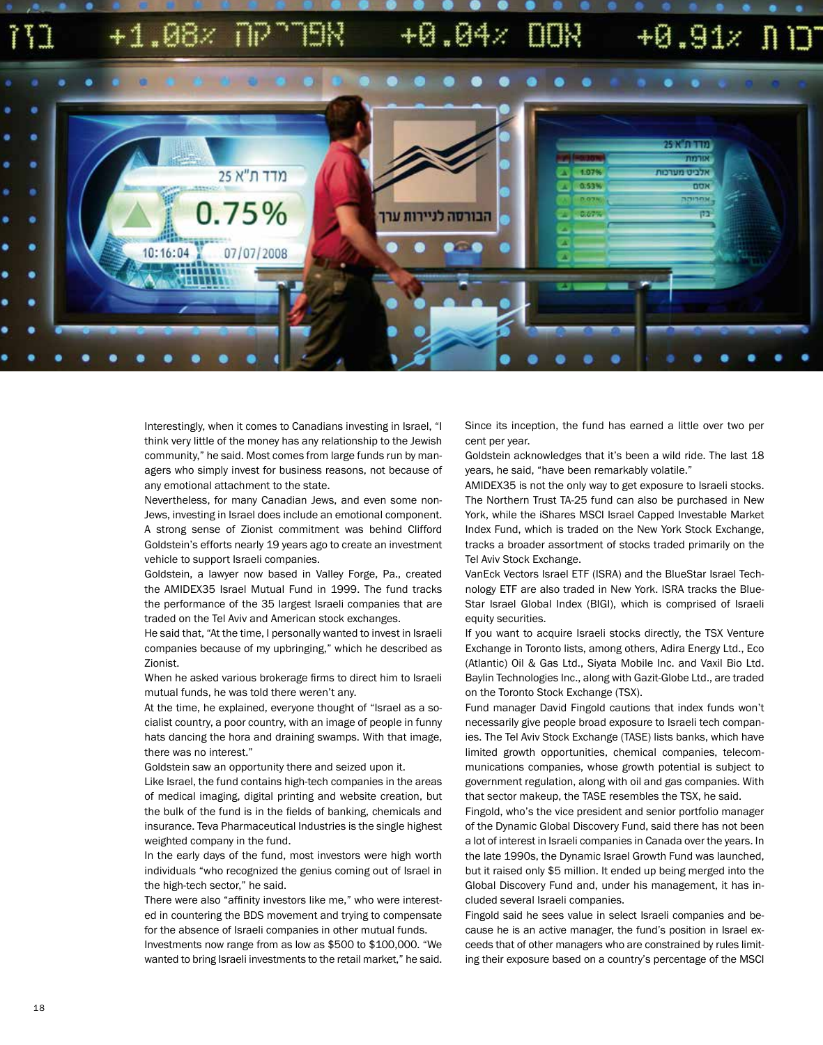## $+1.08x$  $+0.04x$  $+0.91$   $\sqrt{11}$



Interestingly, when it comes to Canadians investing in Israel, "I think very little of the money has any relationship to the Jewish community," he said. Most comes from large funds run by managers who simply invest for business reasons, not because of any emotional attachment to the state.

Nevertheless, for many Canadian Jews, and even some non-Jews, investing in Israel does include an emotional component. A strong sense of Zionist commitment was behind Clifford Goldstein's efforts nearly 19 years ago to create an investment vehicle to support Israeli companies.

Goldstein, a lawyer now based in Valley Forge, Pa., created the AMIDEX35 Israel Mutual Fund in 1999. The fund tracks the performance of the 35 largest Israeli companies that are traded on the Tel Aviv and American stock exchanges.

He said that, "At the time, I personally wanted to invest in Israeli companies because of my upbringing," which he described as Zionist.

When he asked various brokerage firms to direct him to Israeli mutual funds, he was told there weren't any.

At the time, he explained, everyone thought of "Israel as a socialist country, a poor country, with an image of people in funny hats dancing the hora and draining swamps. With that image, there was no interest."

Goldstein saw an opportunity there and seized upon it.

Like Israel, the fund contains high-tech companies in the areas of medical imaging, digital printing and website creation, but the bulk of the fund is in the fields of banking, chemicals and insurance. Teva Pharmaceutical Industries is the single highest weighted company in the fund.

In the early days of the fund, most investors were high worth individuals "who recognized the genius coming out of Israel in the high-tech sector," he said.

There were also "affinity investors like me," who were interested in countering the BDS movement and trying to compensate for the absence of Israeli companies in other mutual funds.

Investments now range from as low as \$500 to \$100,000. "We wanted to bring Israeli investments to the retail market," he said. Since its inception, the fund has earned a little over two per cent per year.

Goldstein acknowledges that it's been a wild ride. The last 18 years, he said, "have been remarkably volatile."

AMIDEX35 is not the only way to get exposure to Israeli stocks. The Northern Trust TA-25 fund can also be purchased in New York, while the iShares MSCI Israel Capped Investable Market Index Fund, which is traded on the New York Stock Exchange, tracks a broader assortment of stocks traded primarily on the Tel Aviv Stock Exchange.

VanEck Vectors Israel ETF (ISRA) and the BlueStar Israel Technology ETF are also traded in New York. ISRA tracks the Blue-Star Israel Global Index (BIGI), which is comprised of Israeli equity securities.

If you want to acquire Israeli stocks directly, the TSX Venture Exchange in Toronto lists, among others, Adira Energy Ltd., Eco (Atlantic) Oil & Gas Ltd., Siyata Mobile Inc. and Vaxil Bio Ltd. Baylin Technologies Inc., along with Gazit-Globe Ltd., are traded on the Toronto Stock Exchange (TSX).

Fund manager David Fingold cautions that index funds won't necessarily give people broad exposure to Israeli tech companies. The Tel Aviv Stock Exchange (TASE) lists banks, which have limited growth opportunities, chemical companies, telecommunications companies, whose growth potential is subject to government regulation, along with oil and gas companies. With that sector makeup, the TASE resembles the TSX, he said.

Fingold, who's the vice president and senior portfolio manager of the Dynamic Global Discovery Fund, said there has not been a lot of interest in Israeli companies in Canada over the years. In the late 1990s, the Dynamic Israel Growth Fund was launched, but it raised only \$5 million. It ended up being merged into the Global Discovery Fund and, under his management, it has included several Israeli companies.

Fingold said he sees value in select Israeli companies and because he is an active manager, the fund's position in Israel exceeds that of other managers who are constrained by rules limiting their exposure based on a country's percentage of the MSCI